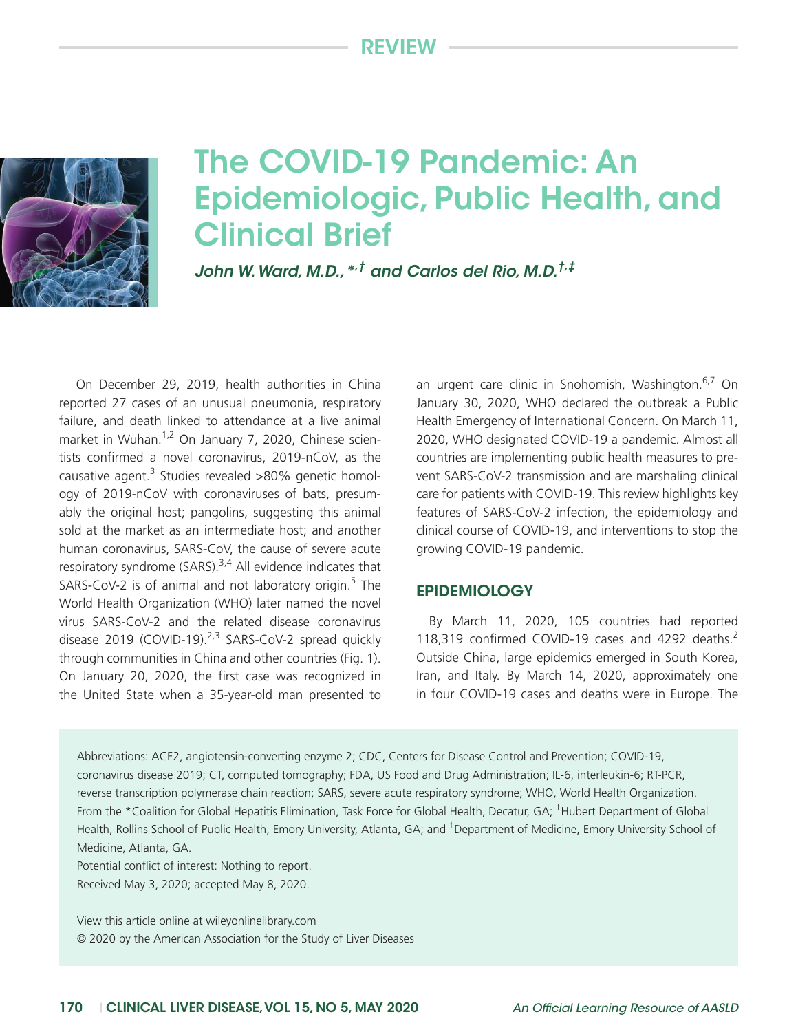# Review



# The COVID-19 Pandemic: An Epidemiologic, Public Health, and Clinical Brief

*John W. Ward, M.D.,\*,† and Carlos del Rio, M.D.†,‡*

On December 29, 2019, health authorities in China reported 27 cases of an unusual pneumonia, respiratory failure, and death linked to attendance at a live animal market in Wuhan.<sup>1,2</sup> On January 7, 2020, Chinese scientists confirmed a novel coronavirus, 2019-nCoV, as the causative agent. $3$  Studies revealed >80% genetic homology of 2019-nCoV with coronaviruses of bats, presumably the original host; pangolins, suggesting this animal sold at the market as an intermediate host; and another human coronavirus, SARS-CoV, the cause of severe acute respiratory syndrome (SARS). $3,4$  All evidence indicates that SARS-CoV-2 is of animal and not laboratory origin.<sup>5</sup> The World Health Organization (WHO) later named the novel virus SARS-CoV-2 and the related disease coronavirus disease 2019 (COVID-19). $2,3$  SARS-CoV-2 spread quickly through communities in China and other countries (Fig. 1). On January 20, 2020, the first case was recognized in the United State when a 35-year-old man presented to

an urgent care clinic in Snohomish, Washington.<sup>6,7</sup> On January 30, 2020, WHO declared the outbreak a Public Health Emergency of International Concern. On March 11, 2020, WHO designated COVID-19 a pandemic. Almost all countries are implementing public health measures to prevent SARS-CoV-2 transmission and are marshaling clinical care for patients with COVID-19. This review highlights key features of SARS-CoV-2 infection, the epidemiology and clinical course of COVID-19, and interventions to stop the growing COVID-19 pandemic.

#### **EPIDEMIOLOGY**

By March 11, 2020, 105 countries had reported 118,319 confirmed COVID-19 cases and 4292 deaths.<sup>2</sup> Outside China, large epidemics emerged in South Korea, Iran, and Italy. By March 14, 2020, approximately one in four COVID-19 cases and deaths were in Europe. The

Abbreviations: ACE2, angiotensin-converting enzyme 2; CDC, Centers for Disease Control and Prevention; COVID-19, coronavirus disease 2019; CT, computed tomography; FDA, US Food and Drug Administration; IL-6, interleukin-6; RT-PCR, reverse transcription polymerase chain reaction; SARS, severe acute respiratory syndrome; WHO, World Health Organization. From the \*Coalition for Global Hepatitis Elimination, Task Force for Global Health, Decatur, GA; <sup>†</sup>Hubert Department of Global Health, Rollins School of Public Health, Emory University, Atlanta, GA; and <sup>‡</sup>Department of Medicine, Emory University School of Medicine, Atlanta, GA.

Potential conflict of interest: Nothing to report.

Received May 3, 2020; accepted May 8, 2020.

View this article online at wileyonlinelibrary.com © 2020 by the American Association for the Study of Liver Diseases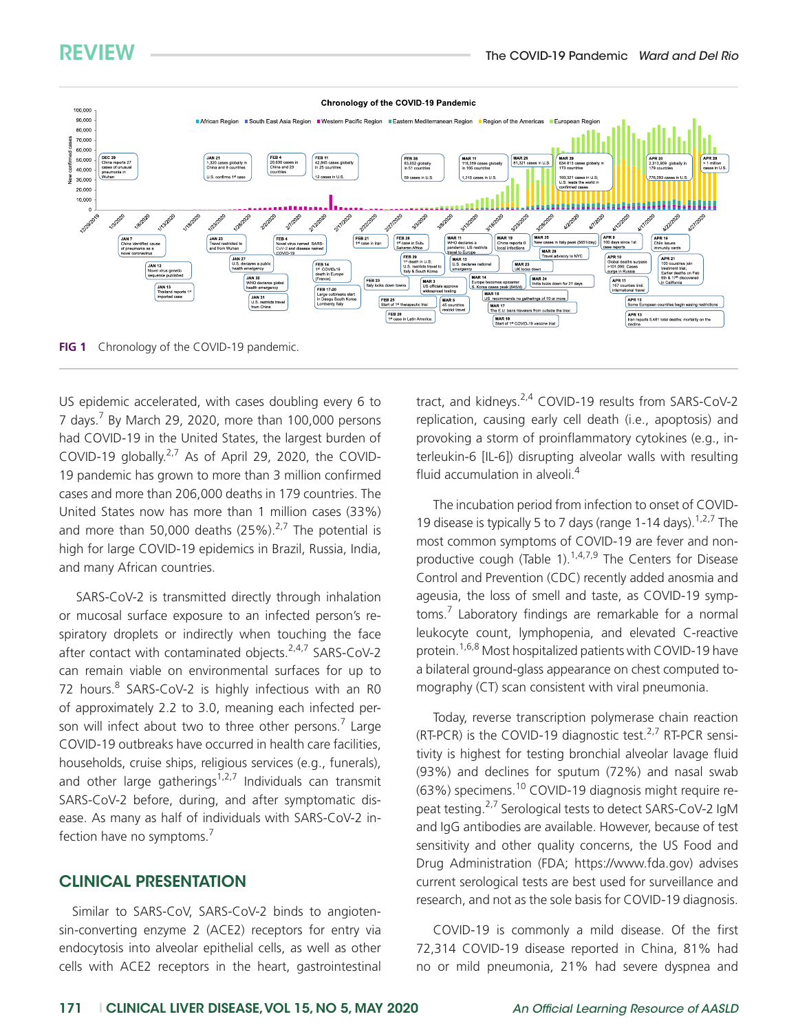

**FIG 1** Chronology of the COVID-19 pandemic.

US epidemic accelerated, with cases doubling every 6 to 7 days.<sup>7</sup> By March 29, 2020, more than 100,000 persons had COVID-19 in the United States, the largest burden of COVID-19 globally. $2^{7}$  As of April 29, 2020, the COVID-19 pandemic has grown to more than 3 million confirmed cases and more than 206,000 deaths in 179 countries. The United States now has more than 1 million cases (33%) and more than 50,000 deaths  $(25\%)^{2,7}$  The potential is high for large COVID-19 epidemics in Brazil, Russia, India, and many African countries.

SARS-CoV-2 is transmitted directly through inhalation or mucosal surface exposure to an infected person's respiratory droplets or indirectly when touching the face after contact with contaminated objects. $2,4,7$  SARS-CoV-2 can remain viable on environmental surfaces for up to 72 hours.<sup>8</sup> SARS-CoV-2 is highly infectious with an R0 of approximately 2.2 to 3.0, meaning each infected person will infect about two to three other persons.<sup>7</sup> Large COVID-19 outbreaks have occurred in health care facilities, households, cruise ships, religious services (e.g., funerals), and other large gatherings<sup>1,2,7</sup> Individuals can transmit SARS-CoV-2 before, during, and after symptomatic disease. As many as half of individuals with SARS-CoV-2 infection have no symptoms.<sup>7</sup>

#### CLINICAL PRESENTATION

Similar to SARS-CoV, SARS-CoV-2 binds to angiotensin-converting enzyme 2 (ACE2) receptors for entry via endocytosis into alveolar epithelial cells, as well as other cells with ACE2 receptors in the heart, gastrointestinal

tract, and kidneys.2,4 COVID-19 results from SARS-CoV-2 replication, causing early cell death (i.e., apoptosis) and provoking a storm of proinflammatory cytokines (e.g., interleukin-6 [IL-6]) disrupting alveolar walls with resulting fluid accumulation in alveoli.<sup>4</sup>

The incubation period from infection to onset of COVID-19 disease is typically 5 to 7 days (range 1-14 days).  $1,2,7$  The most common symptoms of COVID-19 are fever and nonproductive cough (Table 1). $1,4,7,9$  The Centers for Disease Control and Prevention (CDC) recently added anosmia and ageusia, the loss of smell and taste, as COVID-19 symptoms.<sup>7</sup> Laboratory findings are remarkable for a normal leukocyte count, lymphopenia, and elevated C-reactive protein.<sup>1,6,8</sup> Most hospitalized patients with COVID-19 have a bilateral ground-glass appearance on chest computed tomography (CT) scan consistent with viral pneumonia.

Today, reverse transcription polymerase chain reaction (RT-PCR) is the COVID-19 diagnostic test.<sup>2,7</sup> RT-PCR sensitivity is highest for testing bronchial alveolar lavage fluid (93%) and declines for sputum (72%) and nasal swab (63%) specimens.10 COVID-19 diagnosis might require repeat testing.<sup>2,7</sup> Serological tests to detect SARS-CoV-2 IgM and IgG antibodies are available. However, because of test sensitivity and other quality concerns, the US Food and Drug Administration (FDA; [https://www.fda.gov](http://www.fda.gov)) advises current serological tests are best used for surveillance and research, and not as the sole basis for COVID-19 diagnosis.

COVID-19 is commonly a mild disease. Of the first 72,314 COVID-19 disease reported in China, 81% had no or mild pneumonia, 21% had severe dyspnea and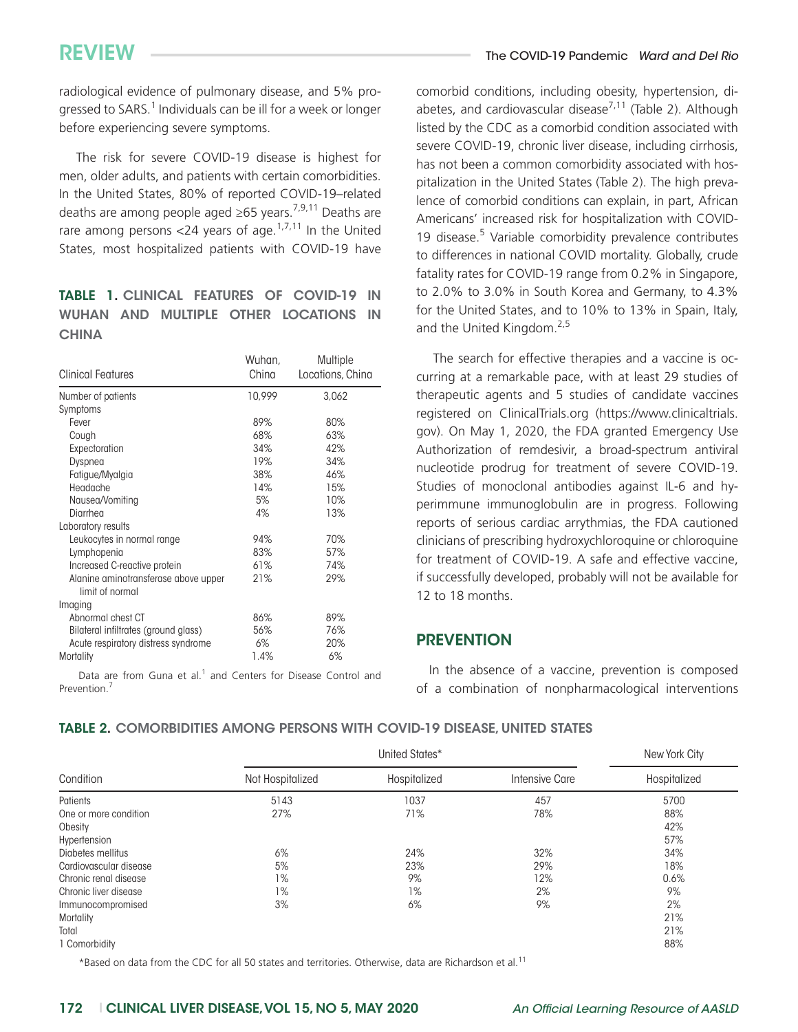radiological evidence of pulmonary disease, and 5% progressed to SARS.<sup>1</sup> Individuals can be ill for a week or longer before experiencing severe symptoms.

The risk for severe COVID-19 disease is highest for men, older adults, and patients with certain comorbidities. In the United States, 80% of reported COVID-19–related deaths are among people aged  $\geq 65$  years.<sup>7,9,11</sup> Deaths are rare among persons <24 years of age.<sup>1,7,11</sup> In the United States, most hospitalized patients with COVID-19 have

## TABLE 1. CLINICAL FEATURES OF COVID-19 IN WUHAN AND MULTIPLE OTHER LOCATIONS IN **CHINA**

| <b>Clinical Features</b>                                | Wuhan,<br>China | Multiple<br>Locations, China |
|---------------------------------------------------------|-----------------|------------------------------|
| Number of patients                                      | 10.999          | 3.062                        |
| Symptoms                                                |                 |                              |
| Fever                                                   | 89%             | 80%                          |
| Cough                                                   | 68%             | 63%                          |
| Expectoration                                           | 34%             | 42%                          |
| Dyspnea                                                 | 19%             | 34%                          |
| Fatigue/Myalgia                                         | 38%             | 46%                          |
| Headache                                                | 14%             | 15%                          |
| Nausea/Vomiting                                         | 5%              | 10%                          |
| Diarrhea                                                | 4%              | 13%                          |
| Laboratory results                                      |                 |                              |
| Leukocytes in normal range                              | 94%             | 70%                          |
| Lymphopenia                                             | 83%             | 57%                          |
| Increased C-reactive protein                            | 61%             | 74%                          |
| Alanine aminotransferase above upper<br>limit of normal | 21%             | 29%                          |
| Imaging                                                 |                 |                              |
| Abnormal chest CT                                       | 86%             | 89%                          |
| Bilateral infiltrates (ground glass)                    | 56%             | 76%                          |
| Acute respiratory distress syndrome                     | 6%              | 20%                          |
| Mortality                                               | 1.4%            | 6%                           |

Data are from Guna et al.<sup>1</sup> and Centers for Disease Control and Prevention.7

comorbid conditions, including obesity, hypertension, diabetes, and cardiovascular disease<sup>7,11</sup> (Table 2). Although listed by the CDC as a comorbid condition associated with severe COVID-19, chronic liver disease, including cirrhosis, has not been a common comorbidity associated with hospitalization in the United States (Table 2). The high prevalence of comorbid conditions can explain, in part, African Americans' increased risk for hospitalization with COVID-19 disease.<sup>5</sup> Variable comorbidity prevalence contributes to differences in national COVID mortality. Globally, crude fatality rates for COVID-19 range from 0.2% in Singapore, to 2.0% to 3.0% in South Korea and Germany, to 4.3% for the United States, and to 10% to 13% in Spain, Italy, and the United Kingdom.<sup>2,5</sup>

The search for effective therapies and a vaccine is occurring at a remarkable pace, with at least 29 studies of therapeutic agents and 5 studies of candidate vaccines registered on ClinicalTrials.org ([https://www.clinicaltrials.](https://www.clinicaltrials.gov) [gov](https://www.clinicaltrials.gov)). On May 1, 2020, the FDA granted Emergency Use Authorization of remdesivir, a broad-spectrum antiviral nucleotide prodrug for treatment of severe COVID-19. Studies of monoclonal antibodies against IL-6 and hyperimmune immunoglobulin are in progress. Following reports of serious cardiac arrythmias, the FDA cautioned clinicians of prescribing hydroxychloroquine or chloroquine for treatment of COVID-19. A safe and effective vaccine, if successfully developed, probably will not be available for 12 to 18 months.

#### **PREVENTION**

In the absence of a vaccine, prevention is composed of a combination of nonpharmacological interventions

#### TABLE 2. COMORBIDITIES AMONG PERSONS WITH COVID-19 DISEASE, UNITED STATES

| Condition              | United States*   |              |                       | New York City |
|------------------------|------------------|--------------|-----------------------|---------------|
|                        | Not Hospitalized | Hospitalized | <b>Intensive Care</b> | Hospitalized  |
| Patients               | 5143             | 1037         | 457                   | 5700          |
| One or more condition  | 27%              | 71%          | 78%                   | 88%           |
| Obesity                |                  |              |                       | 42%           |
| Hypertension           |                  |              |                       | 57%           |
| Diabetes mellitus      | 6%               | 24%          | 32%                   | 34%           |
| Cardiovascular disease | 5%               | 23%          | 29%                   | 18%           |
| Chronic renal disease  | 1%               | 9%           | 12%                   | 0.6%          |
| Chronic liver disease  | 1%               | 1%           | 2%                    | 9%            |
| Immunocompromised      | 3%               | 6%           | 9%                    | 2%            |
| Mortality              |                  |              |                       | 21%           |
| Total                  |                  |              |                       | 21%           |
| 1 Comorbidity          |                  |              |                       | 88%           |

\*Based on data from the CDC for all 50 states and territories. Otherwise, data are Richardson et al.11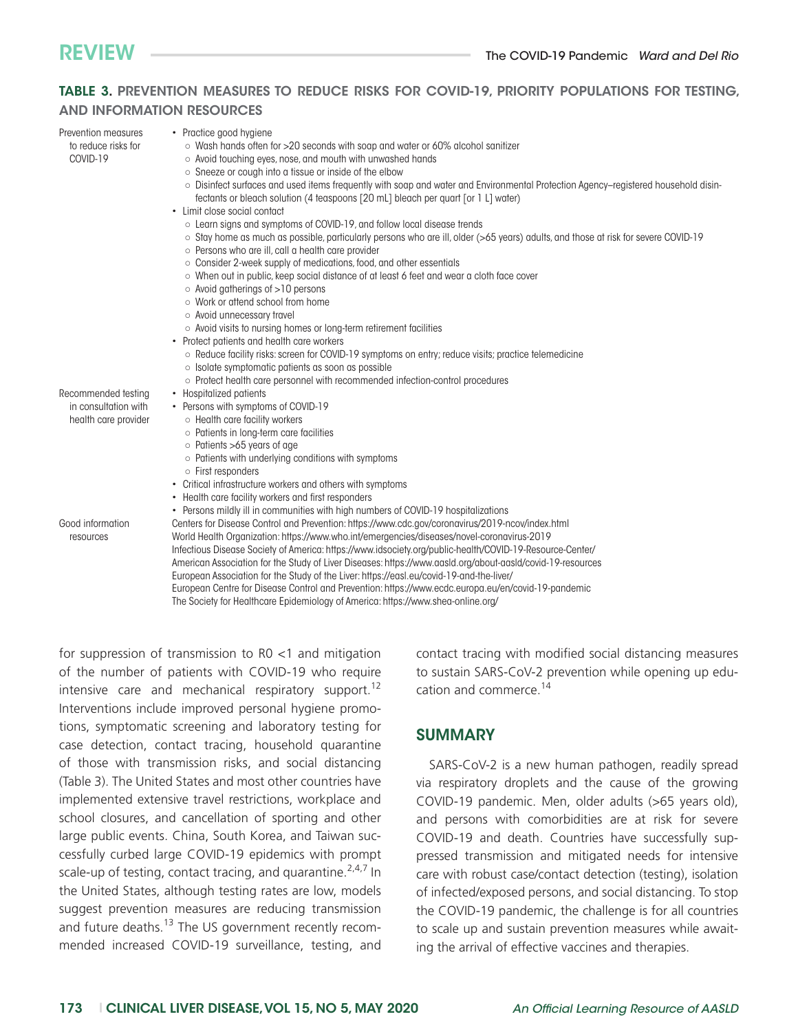#### TABLE 3. PREVENTION MEASURES TO REDUCE RISKS FOR COVID-19, PRIORITY POPULATIONS FOR TESTING, AND INFORMATION RESOURCES

| Prevention measures  | • Practice good hygiene                                                                                                                  |
|----------------------|------------------------------------------------------------------------------------------------------------------------------------------|
| to reduce risks for  | $\circ$ Wash hands often for >20 seconds with soap and water or 60% alcohol sanitizer                                                    |
| COVID-19             | $\circ$ Avoid touching eyes, nose, and mouth with unwashed hands                                                                         |
|                      | $\circ$ Sneeze or cough into a tissue or inside of the elbow                                                                             |
|                      | o Disinfect surfaces and used items frequently with soap and water and Environmental Protection Agency-registered household disin-       |
|                      | fectants or bleach solution (4 teaspoons [20 mL] bleach per quart [or 1 L] water)                                                        |
|                      | • Limit close social contact                                                                                                             |
|                      | ○ Learn signs and symptoms of COVID-19, and follow local disease trends                                                                  |
|                      | $\circ$ Stay home as much as possible, particularly persons who are ill, older (>65 years) adults, and those at risk for severe COVID-19 |
|                      |                                                                                                                                          |
|                      | o Persons who are ill, call a health care provider                                                                                       |
|                      | $\circ$ Consider 2-week supply of medications, food, and other essentials                                                                |
|                      | ○ When out in public, keep social distance of at least 6 feet and wear a cloth face cover                                                |
|                      | ○ Avoid gatherings of >10 persons                                                                                                        |
|                      | ○ Work or attend school from home                                                                                                        |
|                      | ○ Avoid unnecessary travel                                                                                                               |
|                      | ○ Avoid visits to nursing homes or long-term retirement facilities                                                                       |
|                      | • Protect patients and health care workers                                                                                               |
|                      | ○ Reduce facility risks: screen for COVID-19 symptoms on entry; reduce visits; practice telemedicine                                     |
|                      | $\circ$ Isolate symptomatic patients as soon as possible                                                                                 |
|                      | ○ Protect health care personnel with recommended infection-control procedures                                                            |
| Recommended testing  | • Hospitalized patients                                                                                                                  |
| in consultation with | • Persons with symptoms of COVID-19                                                                                                      |
| health care provider | o Health care facility workers                                                                                                           |
|                      | o Patients in long-term care facilities                                                                                                  |
|                      | $\circ$ Patients >65 years of age                                                                                                        |
|                      | $\circ$ Patients with underlying conditions with symptoms                                                                                |
|                      | $\circ$ First responders                                                                                                                 |
|                      | • Critical infrastructure workers and others with symptoms                                                                               |
|                      | • Health care facility workers and first responders                                                                                      |
|                      | • Persons mildly ill in communities with high numbers of COVID-19 hospitalizations                                                       |
| Good information     | Centers for Disease Control and Prevention: https://www.cdc.gov/coronavirus/2019-ncov/index.html                                         |
| resources            | World Health Organization: https://www.who.int/emergencies/diseases/novel-coronavirus-2019                                               |
|                      | Infectious Disease Society of America: https://www.idsociety.org/public-health/COVID-19-Resource-Center/                                 |
|                      | American Association for the Study of Liver Diseases: https://www.aasld.org/about-aasld/covid-19-resources                               |
|                      | European Association for the Study of the Liver: https://easl.eu/covid-19-and-the-liver/                                                 |
|                      | European Centre for Disease Control and Prevention: https://www.ecdc.europa.eu/en/covid-19-pandemic                                      |
|                      | The Society for Healthcare Epidemiology of America: https://www.shea-online.org/                                                         |

for suppression of transmission to R0 <1 and mitigation of the number of patients with COVID-19 who require intensive care and mechanical respiratory support.<sup>12</sup> Interventions include improved personal hygiene promotions, symptomatic screening and laboratory testing for case detection, contact tracing, household quarantine of those with transmission risks, and social distancing (Table 3). The United States and most other countries have implemented extensive travel restrictions, workplace and school closures, and cancellation of sporting and other large public events. China, South Korea, and Taiwan successfully curbed large COVID-19 epidemics with prompt scale-up of testing, contact tracing, and quarantine.  $2,4,7$  In the United States, although testing rates are low, models suggest prevention measures are reducing transmission and future deaths. $13$  The US government recently recommended increased COVID-19 surveillance, testing, and contact tracing with modified social distancing measures to sustain SARS-CoV-2 prevention while opening up education and commerce.<sup>14</sup>

#### SUMMARY

SARS-CoV-2 is a new human pathogen, readily spread via respiratory droplets and the cause of the growing COVID-19 pandemic. Men, older adults (>65 years old), and persons with comorbidities are at risk for severe COVID-19 and death. Countries have successfully suppressed transmission and mitigated needs for intensive care with robust case/contact detection (testing), isolation of infected/exposed persons, and social distancing. To stop the COVID-19 pandemic, the challenge is for all countries to scale up and sustain prevention measures while awaiting the arrival of effective vaccines and therapies.